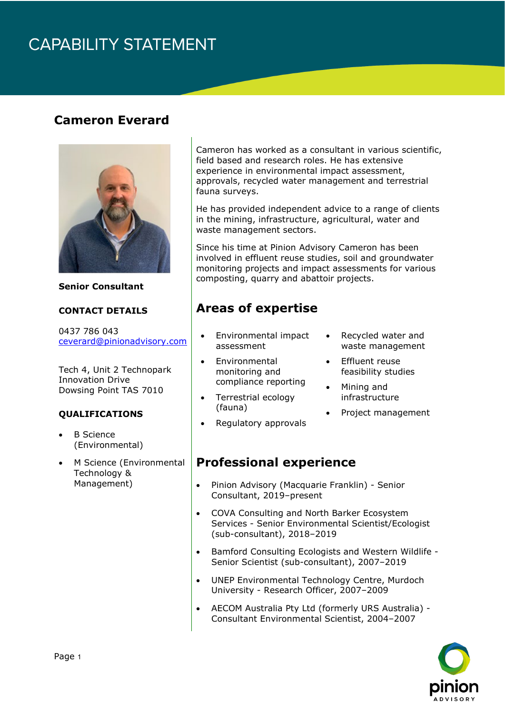## **CAPABILITY STATEMENT**

### **Cameron Everard**



**Senior Consultant**

#### **CONTACT DETAILS**

0437 786 043 [ceverard@pinionadvisory.com](mailto:ceverard@pinionadvisory.com)

Tech 4, Unit 2 Technopark Innovation Drive Dowsing Point TAS 7010

#### **QUALIFICATIONS**

- **B** Science (Environmental)
- M Science (Environmental Technology & Management)

Cameron has worked as a consultant in various scientific, field based and research roles. He has extensive experience in environmental impact assessment, approvals, recycled water management and terrestrial fauna surveys.

He has provided independent advice to a range of clients in the mining, infrastructure, agricultural, water and waste management sectors.

Since his time at Pinion Advisory Cameron has been involved in effluent reuse studies, soil and groundwater monitoring projects and impact assessments for various composting, quarry and abattoir projects.

### **Areas of expertise**

- Environmental impact assessment
- **Environmental** monitoring and compliance reporting
- Terrestrial ecology (fauna)
- Regulatory approvals
- Recycled water and waste management
- **Effluent reuse** feasibility studies
- Mining and infrastructure
- Project management

#### **Professional experience**

- Pinion Advisory (Macquarie Franklin) Senior Consultant, 2019–present
- COVA Consulting and North Barker Ecosystem Services - Senior Environmental Scientist/Ecologist (sub-consultant), 2018–2019
- Bamford Consulting Ecologists and Western Wildlife Senior Scientist (sub-consultant), 2007–2019
- UNEP Environmental Technology Centre, Murdoch University - Research Officer, 2007–2009
- AECOM Australia Pty Ltd (formerly URS Australia) Consultant Environmental Scientist, 2004–2007